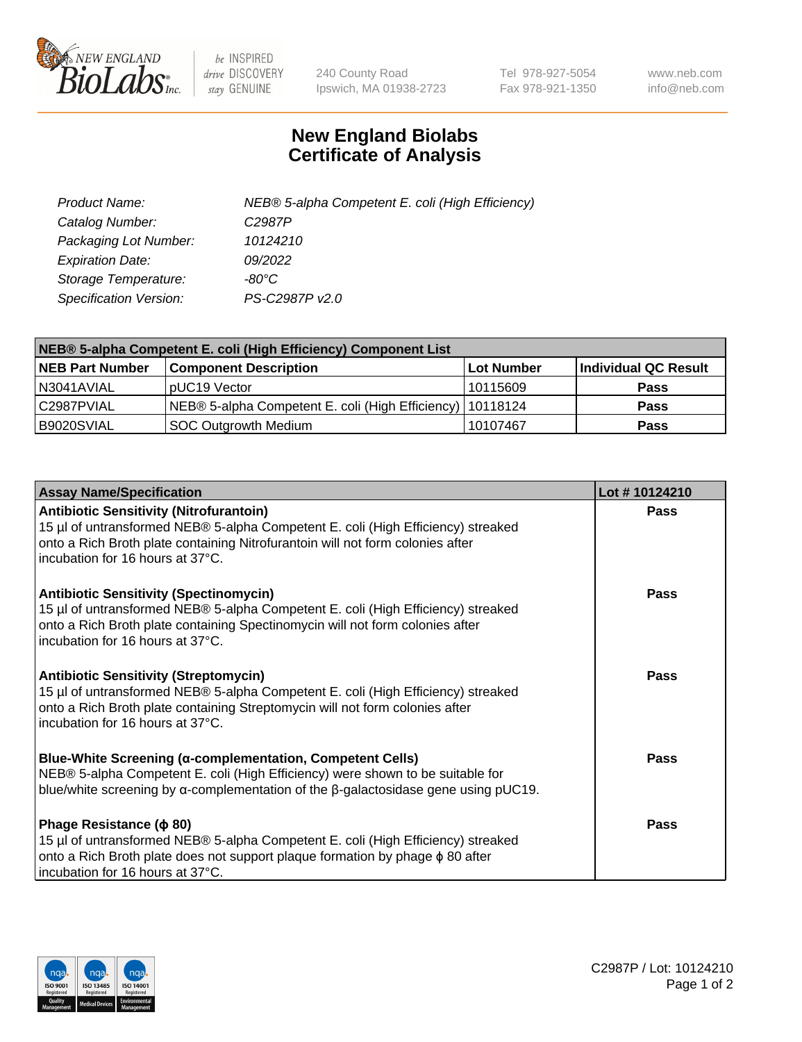

 $be$  INSPIRED drive DISCOVERY stay GENUINE

240 County Road Ipswich, MA 01938-2723 Tel 978-927-5054 Fax 978-921-1350 www.neb.com info@neb.com

## **New England Biolabs Certificate of Analysis**

| Product Name:                 | NEB® 5-alpha Competent E. coli (High Efficiency) |
|-------------------------------|--------------------------------------------------|
| Catalog Number:               | C <sub>2987</sub> P                              |
| Packaging Lot Number:         | 10124210                                         |
| <b>Expiration Date:</b>       | 09/2022                                          |
| Storage Temperature:          | -80°C                                            |
| <b>Specification Version:</b> | PS-C2987P v2.0                                   |

| NEB® 5-alpha Competent E. coli (High Efficiency) Component List |                                                             |            |                      |  |
|-----------------------------------------------------------------|-------------------------------------------------------------|------------|----------------------|--|
| <b>NEB Part Number</b>                                          | <b>Component Description</b>                                | Lot Number | Individual QC Result |  |
| N3041AVIAL                                                      | pUC19 Vector                                                | 10115609   | <b>Pass</b>          |  |
| C2987PVIAL                                                      | NEB® 5-alpha Competent E. coli (High Efficiency)   10118124 |            | <b>Pass</b>          |  |
| B9020SVIAL                                                      | SOC Outgrowth Medium                                        | 10107467   | <b>Pass</b>          |  |

| <b>Assay Name/Specification</b>                                                                                                                                                                                                                          | Lot #10124210 |
|----------------------------------------------------------------------------------------------------------------------------------------------------------------------------------------------------------------------------------------------------------|---------------|
| <b>Antibiotic Sensitivity (Nitrofurantoin)</b><br>15 µl of untransformed NEB® 5-alpha Competent E. coli (High Efficiency) streaked<br>onto a Rich Broth plate containing Nitrofurantoin will not form colonies after<br>incubation for 16 hours at 37°C. | Pass          |
| <b>Antibiotic Sensitivity (Spectinomycin)</b><br>15 µl of untransformed NEB® 5-alpha Competent E. coli (High Efficiency) streaked<br>onto a Rich Broth plate containing Spectinomycin will not form colonies after<br>incubation for 16 hours at 37°C.   | Pass          |
| <b>Antibiotic Sensitivity (Streptomycin)</b><br>15 µl of untransformed NEB® 5-alpha Competent E. coli (High Efficiency) streaked<br>onto a Rich Broth plate containing Streptomycin will not form colonies after<br>incubation for 16 hours at 37°C.     | Pass          |
| <b>Blue-White Screening (α-complementation, Competent Cells)</b><br>NEB® 5-alpha Competent E. coli (High Efficiency) were shown to be suitable for<br>blue/white screening by $\alpha$ -complementation of the $\beta$ -galactosidase gene using pUC19.  | Pass          |
| Phage Resistance ( $\phi$ 80)<br>15 µl of untransformed NEB® 5-alpha Competent E. coli (High Efficiency) streaked<br>onto a Rich Broth plate does not support plaque formation by phage φ 80 after<br>incubation for 16 hours at 37°C.                   | Pass          |